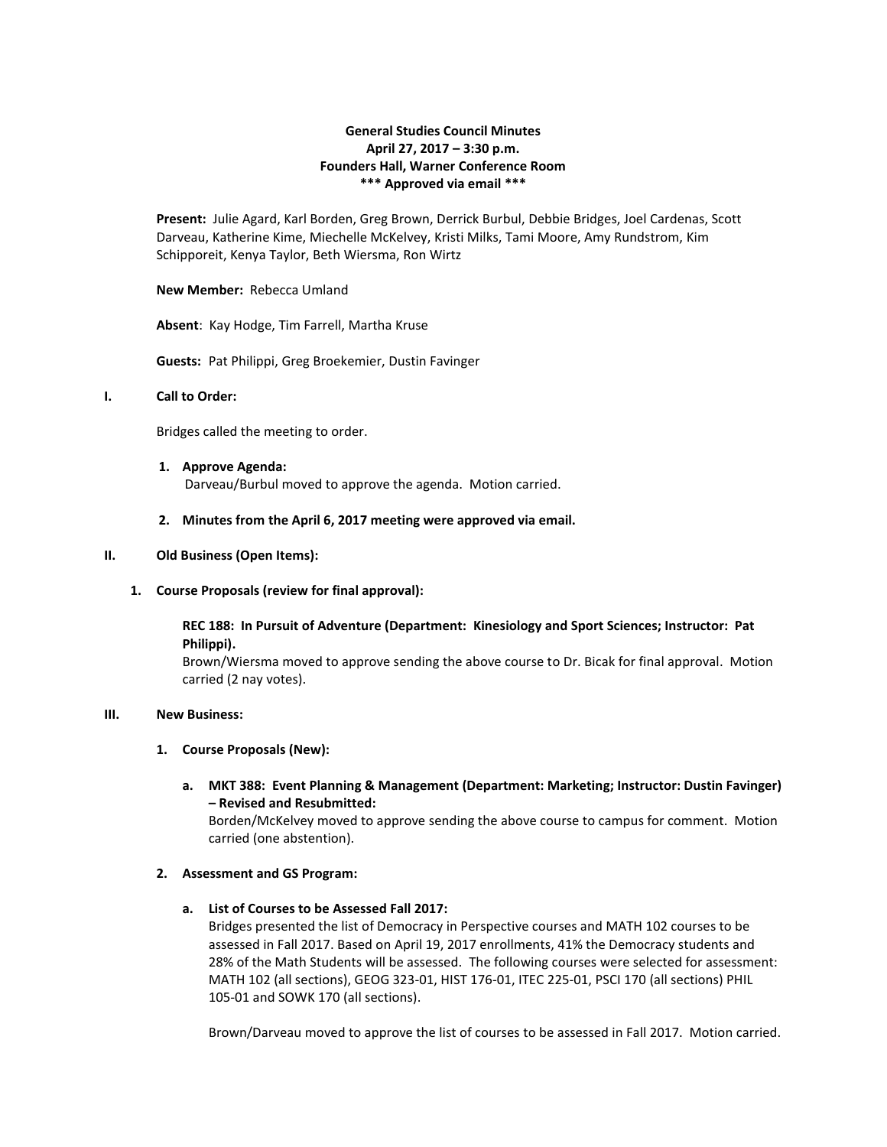# **General Studies Council Minutes April 27, 2017 – 3:30 p.m. Founders Hall, Warner Conference Room \*\*\* Approved via email \*\*\***

**Present:** Julie Agard, Karl Borden, Greg Brown, Derrick Burbul, Debbie Bridges, Joel Cardenas, Scott Darveau, Katherine Kime, Miechelle McKelvey, Kristi Milks, Tami Moore, Amy Rundstrom, Kim Schipporeit, Kenya Taylor, Beth Wiersma, Ron Wirtz

### **New Member:** Rebecca Umland

**Absent**: Kay Hodge, Tim Farrell, Martha Kruse

**Guests:** Pat Philippi, Greg Broekemier, Dustin Favinger

### **I. Call to Order:**

Bridges called the meeting to order.

- **1. Approve Agenda:** Darveau/Burbul moved to approve the agenda. Motion carried.
- **2. Minutes from the April 6, 2017 meeting were approved via email.**

### **II. Old Business (Open Items):**

**1. Course Proposals (review for final approval):** 

# **REC 188: In Pursuit of Adventure (Department: Kinesiology and Sport Sciences; Instructor: Pat Philippi).**

Brown/Wiersma moved to approve sending the above course to Dr. Bicak for final approval. Motion carried (2 nay votes).

#### **III. New Business:**

### **1. Course Proposals (New):**

**a. MKT 388: Event Planning & Management (Department: Marketing; Instructor: Dustin Favinger) – Revised and Resubmitted:**

Borden/McKelvey moved to approve sending the above course to campus for comment. Motion carried (one abstention).

### **2. Assessment and GS Program:**

**a. List of Courses to be Assessed Fall 2017:**

Bridges presented the list of Democracy in Perspective courses and MATH 102 courses to be assessed in Fall 2017. Based on April 19, 2017 enrollments, 41% the Democracy students and 28% of the Math Students will be assessed. The following courses were selected for assessment: MATH 102 (all sections), GEOG 323-01, HIST 176-01, ITEC 225-01, PSCI 170 (all sections) PHIL 105-01 and SOWK 170 (all sections).

Brown/Darveau moved to approve the list of courses to be assessed in Fall 2017. Motion carried.